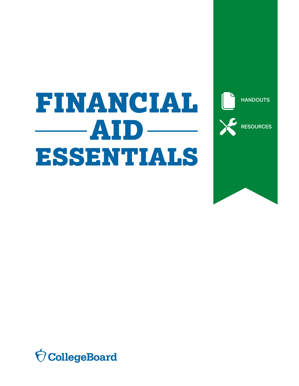## FINANCIAL  $\longrightarrow$  AID.  $\overline{a}$ ESSENTIALS

**HANDOUTS RESOURCES** 

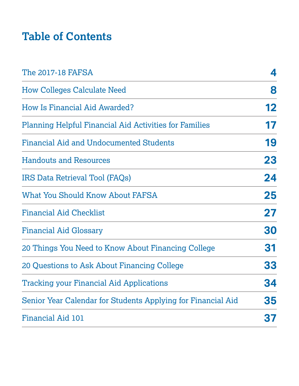## **Table of Contents**

| The 2017-18 FAFSA                                             | 4         |
|---------------------------------------------------------------|-----------|
| <b>How Colleges Calculate Need</b>                            | 8         |
| <b>How Is Financial Aid Awarded?</b>                          | 12        |
| <b>Planning Helpful Financial Aid Activities for Families</b> | 17        |
| Financial Aid and Undocumented Students                       | 19        |
| <b>Handouts and Resources</b>                                 | 23        |
| IRS Data Retrieval Tool (FAQs)                                | 24        |
| <b>What You Should Know About FAFSA</b>                       | 25        |
| <b>Financial Aid Checklist</b>                                | 27        |
| <b>Financial Aid Glossary</b>                                 | 30        |
| 20 Things You Need to Know About Financing College            | 31        |
| 20 Questions to Ask About Financing College                   | 33        |
| <b>Tracking your Financial Aid Applications</b>               | <b>34</b> |
| Senior Year Calendar for Students Applying for Financial Aid  | 35        |
| Financial Aid 101                                             | 37        |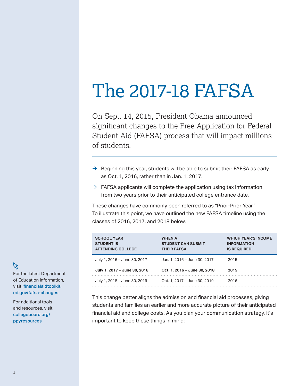## <span id="page-3-0"></span>The 2017-18 FAFSA

On Sept. 14, 2015, President Obama announced significant changes to the Free Application for Federal Student Aid (FAFSA) process that will impact millions of students.

- $\rightarrow$  Beginning this year, students will be able to submit their FAFSA as early as Oct. 1, 2016, rather than in Jan. 1, 2017.
- $\rightarrow$  FAFSA applicants will complete the application using tax information from two years prior to their anticipated college entrance date.

These changes have commonly been referred to as "Prior-Prior Year." To illustrate this point, we have outlined the new FAFSA timeline using the classes of 2016, 2017, and 2018 below.

| <b>SCHOOL YEAR</b><br><b>STUDENT IS</b><br><b>ATTENDING COLLEGE</b> | <b>WHEN A</b><br><b>STUDENT CAN SUBMIT</b><br><b>THEIR FAFSA</b> | <b>WHICH YEAR'S INCOME</b><br><b>INFORMATION</b><br><b>IS REQUIRED</b> |
|---------------------------------------------------------------------|------------------------------------------------------------------|------------------------------------------------------------------------|
| July 1, 2016 - June 30, 2017                                        | Jan. 1, 2016 - June 30, 2017                                     | 2015                                                                   |
| July 1, 2017 - June 30, 2018                                        | Oct. 1, 2016 - June 30, 2018                                     | 2015                                                                   |
| July 1, 2018 - June 30, 2019                                        | Oct. 1, 2017 - June 30, 2019                                     | 2016                                                                   |

This change better aligns the admission and financial aid processes, giving students and families an earlier and more accurate picture of their anticipated financial aid and college costs. As you plan your communication strategy, it's important to keep these things in mind:

## 仪

For the latest Department of Education information, visit: financialaidtoolkit. [ed.gov/fafsa-changes](https://financialaidtoolkit.ed.gov/fafsa-changes)

For additional tools and resources, visit: [collegeboard.org/](https://collegeboard.org/ppyresources) ppyresources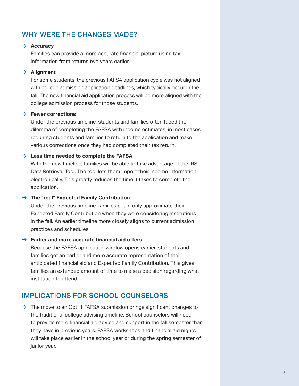### WHY WERE THE CHANGES MADE?

#### $→$  Accuracy

Families can provide a more accurate financial picture using tax information from returns two years earlier.

#### $\rightarrow$  Alignment

For some students, the previous FAFSA application cycle was not aligned with college admission application deadlines, which typically occur in the fall. The new financial aid application process will be more aligned with the college admission process for those students.

#### à **Fewer corrections**

Under the previous timeline, students and families often faced the dilemma of completing the FAFSA with income estimates, in most cases requiring students and families to return to the application and make various corrections once they had completed their tax return.

#### $\rightarrow$  Less time needed to complete the FAFSA

With the new timeline, families will be able to take advantage of the IRS Data Retrieval Tool. The tool lets them import their income information electronically. This greatly reduces the time it takes to complete the application.

#### à **The "real" Expected Family Contribution**

Under the previous timeline, families could only approximate their Expected Family Contribution when they were considering institutions in the fall. An earlier timeline more closely aligns to current admission practices and schedules.

#### à **Earlier and more accurate financial aid offers**

Because the FAFSA application window opens earlier, students and families get an earlier and more accurate representation of their anticipated financial aid and Expected Family Contribution. This gives families an extended amount of time to make a decision regarding what institution to attend.

#### IMPLICATIONS FOR SCHOOL COUNSELORS

 $\rightarrow$  The move to an Oct. 1 FAFSA submission brings significant changes to the traditional college advising timeline. School counselors will need to provide more financial aid advice and support in the fall semester than they have in previous years. FAFSA workshops and financial aid nights will take place earlier in the school year or during the spring semester of junior year.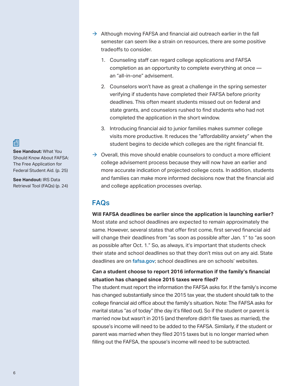倡

**See Handout:** What You Should Know About FAFSA: The Free Application for Federal Student Aid. (p. 25)

**See Handout:** IRS Data Retrieval Tool (FAQs) (p. 24)

- $\rightarrow$  Although moving FAFSA and financial aid outreach earlier in the fall semester can seem like a strain on resources, there are some positive tradeoffs to consider.
	- 1. Counseling staff can regard college applications and FAFSA completion as an opportunity to complete everything at once an "all-in-one" advisement.
	- 2. Counselors won't have as great a challenge in the spring semester verifying if students have completed their FAFSA before priority deadlines. This often meant students missed out on federal and state grants, and counselors rushed to find students who had not completed the application in the short window.
	- 3. Introducing financial aid to junior families makes summer college visits more productive. It reduces the "affordability anxiety" when the student begins to decide which colleges are the right financial fit.
- $\rightarrow$  Overall, this move should enable counselors to conduct a more efficient college advisement process because they will now have an earlier and more accurate indication of projected college costs. In addition, students and families can make more informed decisions now that the financial aid and college application processes overlap.

## FAQs

**Will FAFSA deadlines be earlier since the application is launching earlier?** Most state and school deadlines are expected to remain approximately the same. However, several states that offer first come, first served financial aid will change their deadlines from "as soon as possible after Jan. 1" to "as soon as possible after Oct. 1." So, as always, it's important that students check their state and school deadlines so that they don't miss out on any aid. State deadlines are on [fafsa.gov](http://fafsa.gov); school deadlines are on schools' websites.

#### **Can a student choose to report 2016 information if the family's financial situation has changed since 2015 taxes were filed?**

 marital status "as of today" (the day it's filled out). So if the student or parent is The student must report the information the FAFSA asks for. If the family's income has changed substantially since the 2015 tax year, the student should talk to the college financial aid office about the family's situation. Note: The FAFSA asks for married now but wasn't in 2015 (and therefore didn't file taxes as married), the spouse's income will need to be added to the FAFSA. Similarly, if the student or parent was married when they filed 2015 taxes but is no longer married when filling out the FAFSA, the spouse's income will need to be subtracted.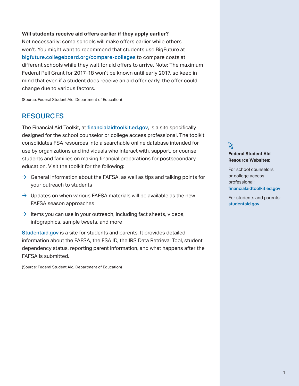#### **Will students receive aid offers earlier if they apply earlier?**

 won't. You might want to recommend that students use BigFuture at Not necessarily; some schools will make offers earlier while others [bigfuture.collegeboard.org/compare-colleges](http://bigfuture.collegeboard.org/compare-colleges) to compare costs at different schools while they wait for aid offers to arrive. Note: The maximum Federal Pell Grant for 2017–18 won't be known until early 2017, so keep in mind that even if a student does receive an aid offer early, the offer could change due to various factors.

(Source: Federal Student Aid, Department of Education)

#### RESOURCES

The Financial Aid Toolkit, at financialaidtoolkit.ed.gov, is a site specifically designed for the school counselor or college access professional. The toolkit consolidates FSA resources into a searchable online database intended for use by organizations and individuals who interact with, support, or counsel students and families on making financial preparations for postsecondary education. Visit the toolkit for the following:

- $\rightarrow$  General information about the FAFSA, as well as tips and talking points for your outreach to students
- $\rightarrow$  Updates on when various FAFSA materials will be available as the new FAFSA season approaches
- $\rightarrow$  Items you can use in your outreach, including fact sheets, videos, infographics, sample tweets, and more

Studentaid.gov is a site for students and parents. It provides detailed information about the FAFSA, the FSA ID, the IRS Data Retrieval Tool, student dependency status, reporting parent information, and what happens after the FAFSA is submitted.

(Source: Federal Student Aid, Department of Education)

### $\aleph$

#### **Federal Student Aid Resource Websites:**

 professional: For school counselors or college access [financialaidtoolkit.ed.gov](http://financialaidtoolkit.ed.gov)

 For students and parents: [studentaid.gov](http://studentaid.gov)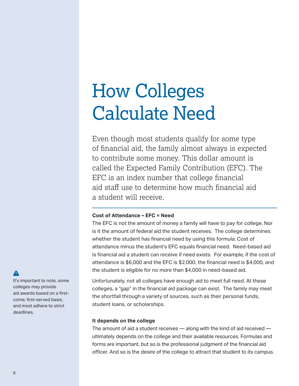## <span id="page-7-0"></span>How Colleges Calculate Need

Even though most students qualify for some type of financial aid, the family almost always is expected to contribute some money. This dollar amount is called the Expected Family Contribution (EFC). The EFC is an index number that college financial aid staff use to determine how much financial aid a student will receive.

#### **Cost of Attendance – EFC = Need**

The EFC is not the amount of money a family will have to pay for college. Nor is it the amount of federal aid the student receives. The college determines whether the student has financial need by using this formula: Cost of attendance minus the student's EFC equals financial need. Need-based aid is financial aid a student can receive if need exists. For example, if the cost of attendance is \$6,000 and the EFC is \$2,000, the financial need is \$4,000, and the student is eligible for no more than \$4,000 in need-based aid.

Unfortunately, not all colleges have enough aid to meet full need. At these colleges, a "gap" in the financial aid package can exist. The family may meet the shortfall through a variety of sources, such as their personal funds, student loans, or scholarships.

#### **It depends on the college**

The amount of aid a student receives — along with the kind of aid received ultimately depends on the college and their available resources. Formulas and forms are important, but so is the professional judgment of the financial aid officer. And so is the desire of the college to attract that student to its campus.

#### $\blacktriangle$

It's important to note, some colleges may provide aid awards based on a firstcome, first-served basis, and most adhere to strict deadlines.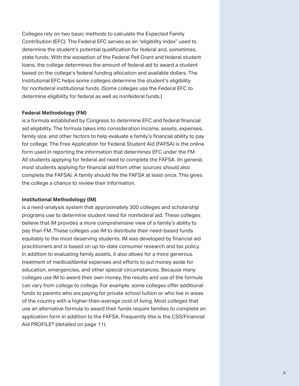Colleges rely on two basic methods to calculate the Expected Family Contribution (EFC). The Federal EFC serves as an "eligibility index" used to determine the student's potential qualification for federal and, sometimes, state funds. With the exception of the Federal Pell Grant and federal student loans, the college determines the amount of federal aid to award a student based on the college's federal funding allocation and available dollars. The Institutional EFC helps some colleges determine the student's eligibility for nonfederal institutional funds. (Some colleges use the Federal EFC to determine eligibility for federal as well as nonfederal funds.)

#### **Federal Methodology (FM)**

is a formula established by Congress to determine EFC and federal financial aid eligibility. The formula takes into consideration income, assets, expenses, family size, and other factors to help evaluate a family's financial ability to pay for college. The Free Application for Federal Student Aid (FAFSA) is the online form used in reporting the information that determines EFC under the FM. All students applying for federal aid need to complete the FAFSA. (In general, most students applying for financial aid from other sources should also complete the FAFSA). A family should file the FAFSA at least once. This gives the college a chance to review their information.

#### **Institutional Methodology (IM)**

is a need-analysis system that approximately 300 colleges and scholarship programs use to determine student need for nonfederal aid. These colleges believe that IM provides a more comprehensive view of a family's ability to pay than FM. These colleges use IM to distribute their need-based funds equitably to the most deserving students. IM was developed by financial aid practitioners and is based on up-to-date consumer research and tax policy. In addition to evaluating family assets, it also allows for a more generous treatment of medical/dental expenses and efforts to put money aside for education, emergencies, and other special circumstances. Because many colleges use IM to award their own money, the results and use of the formula can vary from college to college. For example, some colleges offer additional funds to parents who are paying for private school tuition or who live in areas of the country with a higher-than-average cost of living. Most colleges that use an alternative formula to award their funds require families to complete an application form in addition to the FAFSA. Frequently this is the CSS/Financial Aid PROFILE® (detailed on page 11).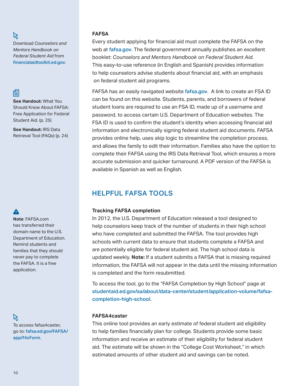#### K

Download *Counselors and Mentors Handbook on Federal Student Aid* from [financialaidtoolkit.ed.gov](http://www.financialaidtoolkit.ed.gov).

### 倡

**See Handout:** What You Should Know About FAFSA: Free Application for Federal Student Aid. (p. 25)

**See Handout:** IRS Data Retrieval Tool (FAQs) (p. 24)

#### A

**Note**: FAFSA.com has transferred their domain name to the U.S. Department of Education. Remind students and families that they should never pay to complete the FAFSA. It is a free application.

以 To access fafsa4caster, go to: [fafsa.ed.gov/FAFSA/](https://fafsa.ed.gov/FAFSA/app/f4cForm) [app/f4cForm](https://fafsa.ed.gov/FAFSA/app/f4cForm).

#### **FAFSA**

on federal student aid programs. Every student applying for financial aid must complete the FAFSA on the web at fafsa.gov. The federal government annually publishes an excellent booklet: *Counselors and Mentors Handbook on Federal Student Aid*. This easy-to-use reference (in English and Spanish) provides information to help counselors advise students about financial aid, with an emphasis

FAFSA has an easily navigated website fafsa.gov. A link to create an FSA ID can be found on this website. Students, parents, and borrowers of federal student loans are required to use an FSA ID, made up of a username and password, to access certain U.S. Department of Education websites. The FSA ID is used to confirm the student's identity when accessing financial aid information and electronically signing federal student aid documents. FAFSA provides online help, uses skip logic to streamline the completion process, and allows the family to edit their information. Families also have the option to complete their FAFSA using the IRS Data Retrieval Tool, which ensures a more accurate submission and quicker turnaround. A PDF version of the FAFSA is available in Spanish as well as English.

## HELPFUL FAFSA TOOLS

#### **Tracking FAFSA completion**

In 2012, the U.S. Department of Education released a tool designed to help counselors keep track of the number of students in their high school who have completed and submitted the FAFSA. The tool provides high schools with current data to ensure that students complete a FAFSA and are potentially eligible for federal student aid. The high school data is updated weekly. **Note:** If a student submits a FAFSA that is missing required information, the FAFSA will not appear in the data until the missing information is completed and the form resubmitted.

To access the tool, go to the "FAFSA Completion by High School" page at [studentaid.ed.gov/sa/about/data-center/student/application-volume/fafsa](https://studentaid.ed.gov/sa/about/data-center/student/application-volume/fafsa-completion-high-school)[completion-high-school](https://studentaid.ed.gov/sa/about/data-center/student/application-volume/fafsa-completion-high-school).

#### **FAFSA4caster**

This online tool provides an early estimate of federal student aid eligibility to help families financially plan for college. Students provide some basic information and receive an estimate of their eligibility for federal student aid. The estimate will be shown in the "College Cost Worksheet," in which estimated amounts of other student aid and savings can be noted.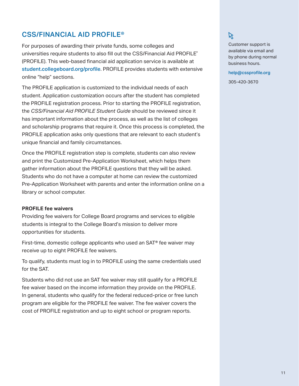### CSS/FINANCIAL AID PROFILE®

For purposes of awarding their private funds, some colleges and universities require students to also fill out the CSS/Financial Aid PROFILE® (PROFILE). This web-based financial aid application service is available at [student.collegeboard.org/profile](http://student.collegeboard.org/profile). PROFILE provides students with extensive online "help" sections.

The PROFILE application is customized to the individual needs of each student. Application customization occurs after the student has completed the PROFILE registration process. Prior to starting the PROFILE registration, the *CSS/Financial Aid PROFILE Student Guide* should be reviewed since it has important information about the process, as well as the list of colleges and scholarship programs that require it. Once this process is completed, the PROFILE application asks only questions that are relevant to each student's unique financial and family circumstances.

Once the PROFILE registration step is complete, students can also review and print the Customized Pre-Application Worksheet, which helps them gather information about the PROFILE questions that they will be asked. Students who do not have a computer at home can review the customized Pre-Application Worksheet with parents and enter the information online on a library or school computer.

#### **PROFILE fee waivers**

Providing fee waivers for College Board programs and services to eligible students is integral to the College Board's mission to deliver more opportunities for students.

First-time, domestic college applicants who used an SAT® fee waiver may receive up to eight PROFILE fee waivers.

To qualify, students must log in to PROFILE using the same credentials used for the SAT.

Students who did not use an SAT fee waiver may still qualify for a PROFILE fee waiver based on the income information they provide on the PROFILE. In general, students who qualify for the federal reduced-price or free lunch program are eligible for the PROFILE fee waiver. The fee waiver covers the cost of PROFILE registration and up to eight school or program reports.

## $\aleph$

Customer support is available via email and by phone during normal business hours.

help@cssprofile.org 305-420-3670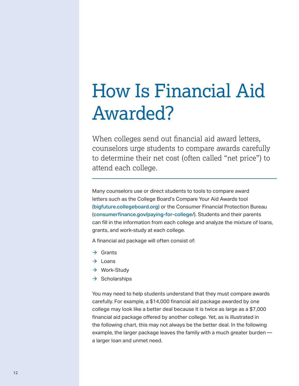## <span id="page-11-0"></span>How Is Financial Aid Awarded?

When colleges send out financial aid award letters, counselors urge students to compare awards carefully to determine their net cost (often called "net price") to attend each college.

 grants, and work-study at each college. Many counselors use or direct students to tools to compare award letters such as the College Board's Compare Your Aid Awards tool (bigfuture.collegeboard.org) or the Consumer Financial Protection Bureau ([consumerfinance.gov/paying-for-college/](http://consumerfinance.gov/paying-for-college)). Students and their parents can fill in the information from each college and analyze the mixture of loans,

A financial aid package will often consist of:

- $\rightarrow$  Grants
- $\rightarrow$  Loans
- $\rightarrow$  Work-Study
- $\rightarrow$  Scholarships

You may need to help students understand that they must compare awards carefully. For example, a \$14,000 financial aid package awarded by one college may look like a better deal because it is twice as large as a \$7,000 financial aid package offered by another college. Yet, as is illustrated in the following chart, this may not always be the better deal. In the following example, the larger package leaves the family with a much greater burden a larger loan and unmet need.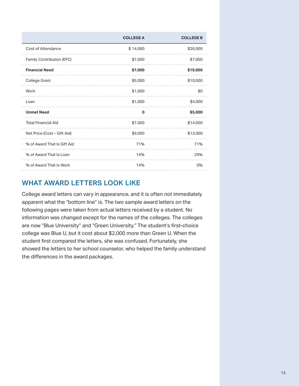|                             | <b>COLLEGE A</b> | <b>COLLEGE B</b> |
|-----------------------------|------------------|------------------|
| <b>Cost of Attendance</b>   | \$14,000         | \$26,000         |
| Family Contribution (EFC)   | \$7,000          | \$7,000          |
| <b>Financial Need</b>       | \$7,000          | \$19,000         |
| <b>College Grant</b>        | \$5,000          | \$10,000         |
| Work                        | \$1,000          | \$0              |
| Loan                        | \$1,000          | \$4,000          |
| <b>Unmet Need</b>           | 0                | \$5,000          |
| <b>Total Financial Aid</b>  | \$7,000          | \$14,000         |
| Net Price (Cost – Gift Aid) | \$9,000          | \$13,000         |
| % of Award That Is Gift Aid | 71%              | 71%              |
| % of Award That Is Loan     | 14%              | 29%              |
| % of Award That Is Work     | 14%              | 0%               |

## WHAT AWARD LETTERS LOOK LIKE

College award letters can vary in appearance, and it is often not immediately apparent what the "bottom line" is. The two sample award letters on the following pages were taken from actual letters received by a student. No information was changed except for the names of the colleges. The colleges are now "Blue University" and "Green University." The student's first-choice college was Blue U, but it cost about \$2,000 more than Green U. When the student first compared the letters, she was confused. Fortunately, she showed the letters to her school counselor, who helped the family understand the differences in the award packages.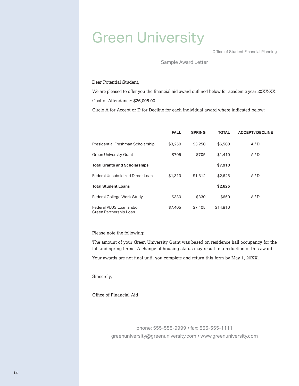## Green University

Office of Student Financial Planning

#### Sample Award Letter

Dear Potential Student,

We are pleased to offer you the financial aid award outlined below for academic year 20XX-XX. Cost of Attendance: \$26,005.00

Circle A for Accept or D for Decline for each individual award where indicated below:

|                                                    | <b>FALL</b> | <b>SPRING</b> | <b>TOTAL</b> | <b>ACCEPT/DECLINE</b> |
|----------------------------------------------------|-------------|---------------|--------------|-----------------------|
| Presidential Freshman Scholarship                  | \$3,250     | \$3,250       | \$6,500      | A/D                   |
| <b>Green University Grant</b>                      | \$705       | \$705         | \$1,410      | A/D                   |
| <b>Total Grants and Scholarships</b>               |             |               | \$7,910      |                       |
| Federal Unsubsidized Direct Loan                   | \$1,313     | \$1,312       | \$2,625      | A/D                   |
| <b>Total Student Loans</b>                         |             |               | \$2,625      |                       |
| Federal College Work-Study                         | \$330       | \$330         | \$660        | A/D                   |
| Federal PLUS Loan and/or<br>Green Partnership Loan | \$7,405     | \$7,405       | \$14,810     |                       |

Please note the following:

The amount of your Green University Grant was based on residence hall occupancy for the fall and spring terms. A change of housing status may result in a reduction of this award.

Your awards are not final until you complete and return this form by May 1, 20XX.

Sincerely,

Office of Financial Aid

phone: 555-555-9999 • fax: 555-555-1111 [greenuniversity@greenuniversity.com](mailto:greenuniversity@greenuniversity.com) • [www.greenuniversity.com](http://www.greenuniversity.com/)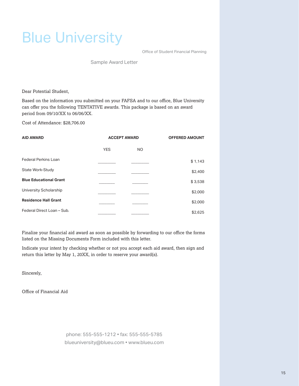## Blue University

Office of Student Financial Planning

Sample Award Letter

Dear Potential Student,

Based on the information you submitted on your FAFSA and to our office, Blue University can offer you the following TENTATIVE awards. This package is based on an award period from 09/10/XX to 06/06/XX.

Cost of Attendance: \$28,706.00

| <b>AID AWARD</b>              |            | <b>ACCEPT AWARD</b> | <b>OFFERED AMOUNT</b> |
|-------------------------------|------------|---------------------|-----------------------|
|                               | <b>YES</b> | NO.                 |                       |
| <b>Federal Perkins Loan</b>   |            |                     | \$1,143               |
| State Work-Study              |            |                     | \$2,400               |
| <b>Blue Educational Grant</b> |            |                     | \$3,538               |
| University Scholarship        |            |                     | \$2,000               |
| <b>Residence Hall Grant</b>   |            |                     | \$2,000               |
| Federal Direct Loan - Sub.    |            |                     | \$2,625               |

Finalize your financial aid award as soon as possible by forwarding to our office the forms listed on the Missing Documents Form included with this letter.

Indicate your intent by checking whether or not you accept each aid award, then sign and return this letter by May 1, 20XX, in order to reserve your award(s).

Sincerely,

Office of Financial Aid

phone: 555-555-1212 • fax: 555-555-5785 [blueuniversity@blueu.com](mailto:blueuniversity@blueu.com) • [www.blueu.com](http://www.blueu.com/)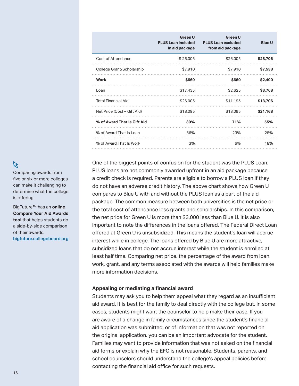|                             | <b>Green U</b><br><b>PLUS Loan included</b><br>in aid package | <b>Green U</b><br><b>PLUS Loan excluded</b><br>from aid package | <b>Blue U</b> |
|-----------------------------|---------------------------------------------------------------|-----------------------------------------------------------------|---------------|
| <b>Cost of Attendance</b>   | \$26,005                                                      | \$26,005                                                        | \$28,706      |
| College Grant/Scholarship   | \$7,910                                                       | \$7,910                                                         | \$7,538       |
| Work                        | \$660                                                         | \$660                                                           | \$2,400       |
| Loan                        | \$17,435                                                      | \$2,625                                                         | \$3,768       |
| <b>Total Financial Aid</b>  | \$26,005                                                      | \$11,195                                                        | \$13,706      |
| Net Price (Cost – Gift Aid) | \$18,095                                                      | \$18,095                                                        | \$21,168      |
| % of Award That Is Gift Aid | 30%                                                           | 71%                                                             | 55%           |
| % of Award That Is Loan     | 56%                                                           | 23%                                                             | 28%           |
| % of Award That Is Work     | 3%                                                            | 6%                                                              | 18%           |

One of the biggest points of confusion for the student was the PLUS Loan. PLUS loans are not commonly awarded upfront in an aid package because a credit check is required. Parents are eligible to borrow a PLUS loan if they do not have an adverse credit history. The above chart shows how Green U compares to Blue U with and without the PLUS loan as a part of the aid package. The common measure between both universities is the net price or the total cost of attendance less grants and scholarships. In this comparison, the net price for Green U is more than \$3,000 less than Blue U. It is also important to note the differences in the loans offered. The Federal Direct Loan offered at Green U is unsubsidized. This means the student's loan will accrue interest while in college. The loans offered by Blue U are more attractive, subsidized loans that do not accrue interest while the student is enrolled at least half time. Comparing net price, the percentage of the award from loan, work, grant, and any terms associated with the awards will help families make more information decisions.

#### **Appealing or mediating a financial award**

Students may ask you to help them appeal what they regard as an insufficient aid award. It is best for the family to deal directly with the college but, in some cases, students might want the counselor to help make their case. If you are aware of a change in family circumstances since the student's financial aid application was submitted, or of information that was not reported on the original application, you can be an important advocate for the student. Families may want to provide information that was not asked on the financial aid forms or explain why the EFC is not reasonable. Students, parents, and school counselors should understand the college's appeal policies before contacting the financial aid office for such requests.

#### K

Comparing awards from five or six or more colleges can make it challenging to determine what the college is offering.

BigFuture™ has an **online Compare Your Aid Awards tool** that helps students do a side-by-side comparison of their awards. [bigfuture.collegeboard.org](https://bigfuture.collegeboard.org/)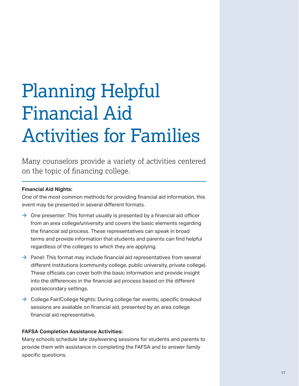## <span id="page-16-0"></span>Planning Helpful Financial Aid Activities for Families

Many counselors provide a variety of activities centered on the topic of financing college.

#### **Financial Aid Nights:**

One of the most common methods for providing financial aid information, this event may be presented in several different formats.

- $\rightarrow$  One presenter: This format usually is presented by a financial aid officer from an area college/university and covers the basic elements regarding the financial aid process. These representatives can speak in broad terms and provide information that students and parents can find helpful regardless of the colleges to which they are applying.
- $\rightarrow$  Panel: This format may include financial aid representatives from several different institutions (community college, public university, private college). These officials can cover both the basic information and provide insight into the differences in the financial aid process based on the different postsecondary settings.
- $\rightarrow$  College Fair/College Nights: During college fair events, specific breakout sessions are available on financial aid, presented by an area college financial aid representative.

#### **FAFSA Completion Assistance Activities:**

Many schools schedule late day/evening sessions for students and parents to provide them with assistance in completing the FAFSA and to answer family specific questions.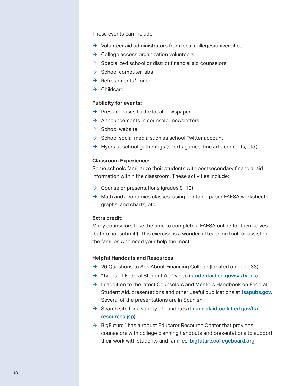These events can include:

- $\rightarrow$  Volunteer aid administrators from local colleges/universities
- $\rightarrow$  College access organization volunteers
- $\rightarrow$  Specialized school or district financial aid counselors
- $\rightarrow$  School computer labs
- $\rightarrow$  Refreshments/dinner
- $\rightarrow$  Childcare

#### **Publicity for events:**

- $\rightarrow$  Press releases to the local newspaper
- $\rightarrow$  Announcements in counselor newsletters
- $\rightarrow$  School website
- $\rightarrow$  School social media such as school Twitter account
- $\rightarrow$  Flyers at school gatherings (sports games, fine arts concerts, etc.)

#### **Classroom Experience:**

Some schools familiarize their students with postsecondary financial aid information within the classroom. These activities include:

- $\rightarrow$  Counselor presentations (grades 9–12)
- $\rightarrow$  Math and economics classes: using printable paper FAFSA worksheets, graphs, and charts, etc.

#### **Extra credit:**

Many counselors take the time to complete a FAFSA online for themselves (but do not submit!). This exercise is a wonderful teaching tool for assisting the families who need your help the most.

#### **Helpful Handouts and Resources**

- $\rightarrow$  20 Questions to Ask About Financing College (located on page 33)
- $\rightarrow$  "Types of Federal Student Aid" video ([studentaid.ed.gov/sa/types](https://studentaid.ed.gov/sa/types))
- $\rightarrow$  In addition to the latest Counselors and Mentors Handbook on Federal Student Aid, presentations and other useful publications at fsapubs.gov. Several of the presentations are in Spanish.
- $\rightarrow$  Search site for a variety of handouts ([financialaidtoolkit.ed.gov/tk/](http://financialaidtoolkit.ed.gov/tk/resources.jsp) [resources.jsp](http://financialaidtoolkit.ed.gov/tk/resources.jsp))
- $\rightarrow$  BigFuture™ has a robust Educator Resource Center that provides counselors with college planning handouts and presentations to support their work with students and families. bigfuture.collegeboard.org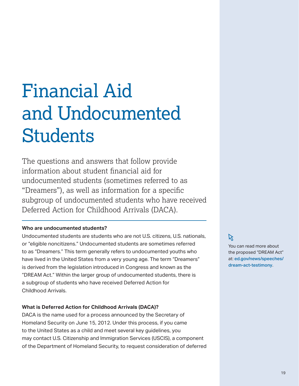## <span id="page-18-0"></span>Financial Aid and Undocumented **Students**

The questions and answers that follow provide information about student financial aid for undocumented students (sometimes referred to as "Dreamers"), as well as information for a specific subgroup of undocumented students who have received Deferred Action for Childhood Arrivals (DACA).

#### **Who are undocumented students?**

Undocumented students are students who are not U.S. citizens, U.S. nationals, or "eligible noncitizens." Undocumented students are sometimes referred to as "Dreamers." This term generally refers to undocumented youths who have lived in the United States from a very young age. The term "Dreamers" is derived from the legislation introduced in Congress and known as the "DREAM Act." Within the larger group of undocumented students, there is a subgroup of students who have received Deferred Action for Childhood Arrivals.

#### **What is Deferred Action for Childhood Arrivals (DACA)?**

DACA is the name used for a process announced by the Secretary of Homeland Security on June 15, 2012. Under this process, if you came to the United States as a child and meet several key guidelines, you may contact U.S. Citizenship and Immigration Services (USCIS), a component of the Department of Homeland Security, to request consideration of deferred

## $\aleph$

You can read more about the proposed "DREAM Act" at: [ed.gov/news/speeches/](http://www.ed.gov/news/speeches/dream-act-testimony) [dream-act-testimony](http://www.ed.gov/news/speeches/dream-act-testimony).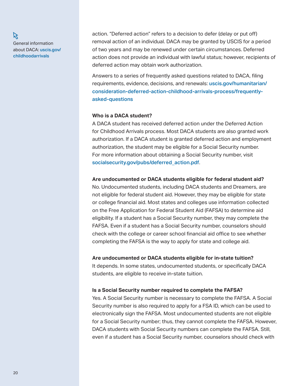K General information about DACA: [uscis.gov/](http://www.uscis.gov/childhoodarrivals) [childhoodarrivals](http://www.uscis.gov/childhoodarrivals)

action. "Deferred action" refers to a decision to defer (delay or put off) removal action of an individual. DACA may be granted by USCIS for a period of two years and may be renewed under certain circumstances. Deferred action does not provide an individual with lawful status; however, recipients of deferred action may obtain work authorization.

Answers to a series of frequently asked questions related to DACA, filing requirements, evidence, decisions, and renewals: [uscis.gov/humanitarian/](http://www.uscis.gov/humanitarian/consideration-deferred-action-childhood-arrivals-process/frequently-asked-questions) [consideration-deferred-action-childhood-arrivals-process/frequently](http://www.uscis.gov/humanitarian/consideration-deferred-action-childhood-arrivals-process/frequently-asked-questions)[asked-questions](http://www.uscis.gov/humanitarian/consideration-deferred-action-childhood-arrivals-process/frequently-asked-questions)

#### **Who is a DACA student?**

A DACA student has received deferred action under the Deferred Action for Childhood Arrivals process. Most DACA students are also granted work authorization. If a DACA student is granted deferred action and employment authorization, the student may be eligible for a Social Security number. For more information about obtaining a Social Security number, visit [socialsecurity.gov/pubs/deferred\\_action.pdf](http://www.socialsecurity.gov/pubs/deferred_action.pdf).

#### **Are undocumented or DACA students eligible for federal student aid?**

No. Undocumented students, including DACA students and Dreamers, are not eligible for federal student aid. However, they may be eligible for state or college financial aid. Most states and colleges use information collected on the Free Application for Federal Student Aid (FAFSA) to determine aid eligibility. If a student has a Social Security number, they may complete the FAFSA. Even if a student has a Social Security number, counselors should check with the college or career school financial aid office to see whether completing the FAFSA is the way to apply for state and college aid.

#### **Are undocumented or DACA students eligible for in-state tuition?**

It depends. In some states, undocumented students, or specifically DACA students, are eligible to receive in-state tuition.

#### **Is a Social Security number required to complete the FAFSA?**

Yes. A Social Security number is necessary to complete the FAFSA. A Social Security number is also required to apply for a FSA ID, which can be used to electronically sign the FAFSA. Most undocumented students are not eligible for a Social Security number; thus, they cannot complete the FAFSA. However, DACA students with Social Security numbers can complete the FAFSA. Still, even if a student has a Social Security number, counselors should check with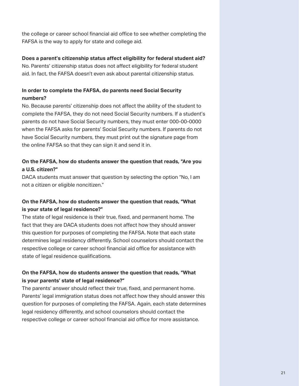the college or career school financial aid office to see whether completing the FAFSA is the way to apply for state and college aid.

#### **Does a parent's citizenship status affect eligibility for federal student aid?**

No. Parents' citizenship status does not affect eligibility for federal student aid. In fact, the FAFSA doesn't even ask about parental citizenship status.

#### **In order to complete the FAFSA, do parents need Social Security numbers?**

No. Because parents' citizenship does not affect the ability of the student to complete the FAFSA, they do not need Social Security numbers. If a student's parents do not have Social Security numbers, they must enter 000-00-0000 when the FAFSA asks for parents' Social Security numbers. If parents do not have Social Security numbers, they must print out the signature page from the online FAFSA so that they can sign it and send it in.

#### **On the FAFSA, how do students answer the question that reads, "Are you a U.S. citizen?"**

DACA students must answer that question by selecting the option "No, I am not a citizen or eligible noncitizen."

#### **On the FAFSA, how do students answer the question that reads, "What is your state of legal residence?"**

The state of legal residence is their true, fixed, and permanent home. The fact that they are DACA students does not affect how they should answer this question for purposes of completing the FAFSA. Note that each state determines legal residency differently. School counselors should contact the respective college or career school financial aid office for assistance with state of legal residence qualifications.

#### **On the FAFSA, how do students answer the question that reads, "What is your parents' state of legal residence?"**

The parents' answer should reflect their true, fixed, and permanent home. Parents' legal immigration status does not affect how they should answer this question for purposes of completing the FAFSA. Again, each state determines legal residency differently, and school counselors should contact the respective college or career school financial aid office for more assistance.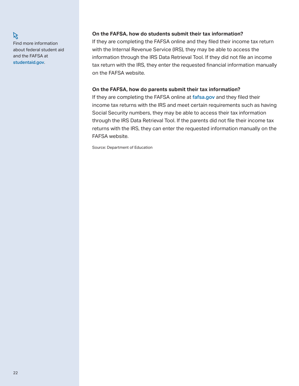Find more information about federal student aid and the FAFSA at studentaid.gov.

 $\beta$ 

#### **On the FAFSA, how do students submit their tax information?**

If they are completing the FAFSA online and they filed their income tax return with the Internal Revenue Service (IRS), they may be able to access the information through the IRS Data Retrieval Tool. If they did not file an income tax return with the IRS, they enter the requested financial information manually on the FAFSA website.

#### **On the FAFSA, how do parents submit their tax information?**

If they are completing the FAFSA online at [fafsa.gov](http://fafsa.gov) and they filed their income tax returns with the IRS and meet certain requirements such as having Social Security numbers, they may be able to access their tax information through the IRS Data Retrieval Tool. If the parents did not file their income tax returns with the IRS, they can enter the requested information manually on the FAFSA website.

Source: Department of Education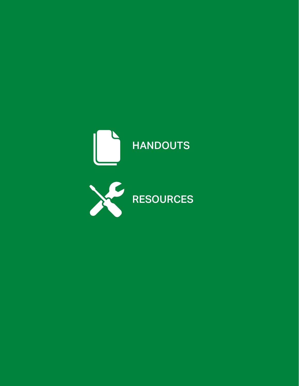<span id="page-22-0"></span>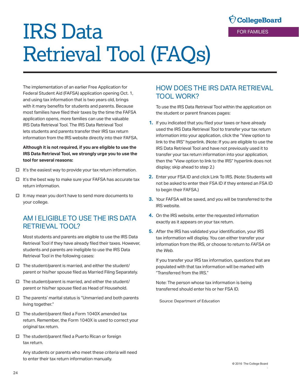# <span id="page-23-0"></span>IRS Data Retrieval Tool (FAQs)

**CollegeBoard** FOR FAMILIES

The implementation of an earlier Free Application for Federal Student Aid (FAFSA) application opening Oct. 1, and using tax information that is two years old, brings with it many benefits for students and parents. Because most families have filed their taxes by the time the FAFSA application opens, more families can use the valuable IRS Data Retrieval Tool. The IRS Data Retrieval Tool lets students and parents transfer their IRS tax return information from the IRS website directly into their FAFSA.

#### **Although it is not required, if you are eligible to use the IRS Data Retrieval Tool, we strongly urge you to use the tool for several reasons:**

- $\Box$  It's the easiest way to provide your tax return information.
- $\Box$  It's the best way to make sure your FAFSA has accurate tax return information.
- $\Box$  It may mean you don't have to send more documents to your college.

## AM I FLIGIBLE TO USE THE IRS DATA RETRIEVAL TOOL?

Most students and parents are eligible to use the IRS Data Retrieval Tool if they have already filed their taxes. However, students and parents are ineligible to use the IRS Data Retrieval Tool in the following cases:

- $\Box$  The student/parent is married, and either the student/ parent or his/her spouse filed as Married Filing Separately.
- $\Box$  The student/parent is married, and either the student/ parent or his/her spouse filed as Head of Household.
- $\Box$  The parents' marital status is "Unmarried and both parents living together."
- $\Box$  The student/parent filed a Form 1040X amended tax return. Remember, the Form 1040X is used to correct your original tax return.
- $\Box$  The student/parent filed a Puerto Rican or foreign tax return.

Any students or parents who meet these criteria will need to enter their tax return information manually.

## HOW DOES THE IRS DATA RETRIEVAL TOOL WORK?

To use the IRS Data Retrieval Tool within the application on the student or parent finances pages:

- **1.** If you indicated that you filed your taxes or have already used the IRS Data Retrieval Tool to transfer your tax return information into your application, click the "View option to link to the IRS" hyperlink. (Note: If you are eligible to use the IRS Data Retrieval Tool and have not previously used it to transfer your tax return information into your application, then the "View option to link to the IRS" hyperlink does not display; skip ahead to step 2.)
- **2.** Enter your FSA ID and click Link To IRS. (Note: Students will not be asked to enter their FSA ID if they entered an FSA ID to begin their FAFSA.)
- **3.** Your FAFSA will be saved, and you will be transferred to the IRS website.
- **4.** On the IRS website, enter the requested information exactly as it appears on your tax return.
- **5.** After the IRS has validated your identification, your IRS tax information will display. You can either transfer your information from the IRS, or choose to return to *FAFSA on the Web*.

If you transfer your IRS tax information, questions that are populated with that tax information will be marked with "Transferred from the IRS."

Note: The person whose tax information is being transferred should enter his or her FSA ID.

Source: Department of Education

.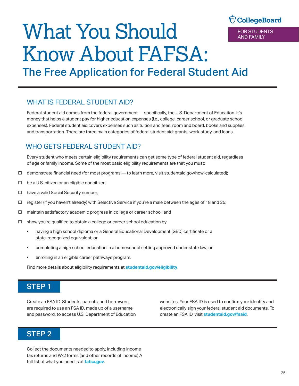## **CollegeBoard** FOR STUDENTS

AND FAMILY

## <span id="page-24-0"></span>What You Should Know About FAFSA:

The Free Application for Federal Student Aid

## WHAT IS FEDERAL STUDENT AID?

Federal student aid comes from the federal government — specifically, the U.S. Department of Education. It's money that helps a student pay for higher education expenses (i.e., college, career school, or graduate school expenses). Federal student aid covers expenses such as tuition and fees, room and board, books and supplies, and transportation. There are three main categories of federal student aid: grants, work-study, and loans.

## WHO GETS FEDERAL STUDENT AID?

Every student who meets certain eligibility requirements can get some type of federal student aid, regardless of age or family income. Some of the most basic eligibility requirements are that you must:

- $\Box$  demonstrate financial need (for most programs to learn more, visit studentaid.gov/how-calculated);
- $\Box$  be a U.S. citizen or an eligible noncitizen;
- $\Box$  have a valid Social Security number;
- $\Box$  register (if you haven't already) with Selective Service if you're a male between the ages of 18 and 25;
- $\square$  maintain satisfactory academic progress in college or career school; and
- $\square$  show you're qualified to obtain a college or career school education by
	- having a high school diploma or a General Educational Development (GED) certificate or a state-recognized equivalent; or
	- completing a high school education in a homeschool setting approved under state law; or
	- enrolling in an eligible career pathways program.

Find more details about eligibility requirements at **[studentaid.gov/eligibility](http://studentaid.gov/eligibility)**.

### STEP 1

Create an FSA ID. Students, parents, and borrowers are required to use an FSA ID, made up of a username and password, to access U.S. Department of Education websites. Your FSA ID is used to confirm your identity and electronically sign your federal student aid documents. To create an FSA ID, visit **[studentaid.gov/fsaid](http://studentaid.gov/fsaid)**.

### STEP 2

Collect the documents needed to apply, including income tax returns and W-2 forms (and other records of income) A full list of what you need is at **fafsa.gov**.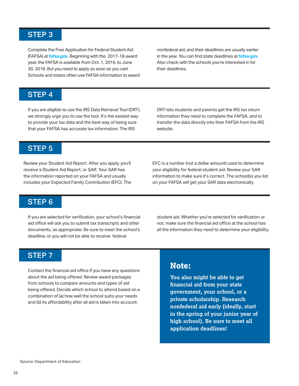## STEP 3

Complete the Free Application for Federal Student Aid (FAFSA) at **fafsa.gov**. Beginning with the 2017-18 award year, the FAFSA is available from Oct. 1, 2016, to June 30, 2018. But you need to apply as soon as you can! Schools and states often use FAFSA information to award

nonfederal aid, and their deadlines are usually earlier in the year. You can find state deadlines at **fafsa.gov**. Also check with the schools you're interested in for their deadlines.

### STEP 4

If you are eligible to use the IRS Data Retrieval Tool (DRT), we strongly urge you to use the tool. It's the easiest way to provide your tax data and the best way of being sure that your FAFSA has accurate tax information. The IRS

DRT lets students and parents get the IRS tax return information they need to complete the FAFSA, and to transfer the data directly into their FAFSA from the IRS website.

## STEP 5

Review your Student Aid Report. After you apply, you'll receive a Student Aid Report, or SAR. Your SAR has the information reported on your FAFSA and usually includes your Expected Family Contribution (EFC). The EFC is a number (not a dollar amount) used to determine your eligibility for federal student aid. Review your SAR information to make sure it's correct. The school(s) you list on your FAFSA will get your SAR data electronically.

## STEP 6

If you are selected for verification, your school's financial aid office will ask you to submit tax transcripts and other documents, as appropriate. Be sure to meet the school's deadline, or you will not be able to receive federal

student aid. Whether you're selected for verification or not, make sure the financial aid office at the school has all the information they need to determine your eligibility.

### STEP 7

Contact the financial aid office if you have any questions about the aid being offered. Review award packages from schools to compare amounts and types of aid being offered. Decide which school to attend based on a combination of (a) how well the school suits your needs and (b) its affordability after all aid is taken into account.

## **Note:**

**You also might be able to get financial aid from your state government, your school, or a private scholarship. Research nonfederal aid early (ideally, start in the spring of your junior year of high school). Be sure to meet all application deadlines!**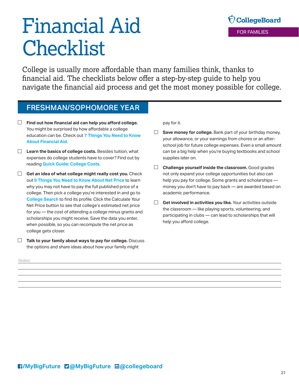# <span id="page-26-0"></span>Financial Aid **Checklist**

OcollegeBoard FOR FAMILIES

College is usually more affordable than many families think, thanks to financial aid. The checklists below offer a step-by-step guide to help you navigate the financial aid process and get the most money possible for college.

## FRESHMAN/SOPHOMORE YEAR

- **Find out how financial aid can help you afford college.**  You might be surprised by how affordable a college education can be. Check out **[7 Things You Need to Know](https://bigfuture.collegeboard.org/pay-for-college/financial-aid-101/7-things-you-need-to-know-about-financial-aid) [About Financial Aid](https://bigfuture.collegeboard.org/pay-for-college/financial-aid-101/7-things-you-need-to-know-about-financial-aid)**.
- **Learn the basics of college costs.** Besides tuition, what expenses do college students have to cover? Find out by reading **[Quick Guide: College Costs](https://bigfuture.collegeboard.org/pay-for-college/college-costs/quick-guide-college-costs)**.
- **Get an idea of what college might really cost you.** Check out **[9 Things You Need to Know About Net Price](https://bigfuture.collegeboard.org/pay-for-college/paying-your-share/9-things-you-need-to-know-about-net-price)** to learn why you may not have to pay the full published price of a college. Then pick a college you're interested in and go to **[College Search](https://bigfuture.collegeboard.org/college-search)** to find its profile. Click the Calculate Your Net Price button to see that college's estimated net price for you — the cost of attending a college minus grants and scholarships you might receive. Save the data you enter, when possible, so you can recompute the net price as college gets closer.

**Talk to your family about ways to pay for college.** Discuss the options and share ideas about how your family might

pay for it.

- $\Box$ **Save money for college.** Bank part of your birthday money, your allowance, or your earnings from chores or an afterschool job for future college expenses. Even a small amount can be a big help when you're buying textbooks and school supplies later on.
- **Challenge yourself inside the classroom.** Good grades not only expand your college opportunities but also can help you pay for college. Some grants and scholarships money you don't have to pay back — are awarded based on academic performance.
- **Get involved in activities you like.** Your activities outside the classroom — like playing sports, volunteering, and participating in clubs — can lead to scholarships that will help you afford college.

*Notes:*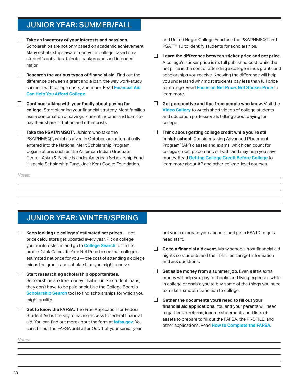## JUNIOR YEAR: SUMMER/FALL

- **Take an inventory of your interests and passions.**  Scholarships are not only based on academic achievement. Many scholarships award money for college based on a student's activities, talents, background, and intended major.
- **Research the various types of financial aid.** Find out the difference between a grant and a loan, the way work-study can help with college costs, and more. Read **[Financial Aid](https://bigfuture.collegeboard.org/pay-for-college/financial-aid-101/financial-aid-can-help-you-afford-college) [Can Help You Afford College](https://bigfuture.collegeboard.org/pay-for-college/financial-aid-101/financial-aid-can-help-you-afford-college)**.
- **Continue talking with your family about paying for college.** Start planning your financial strategy. Most families use a combination of savings, current income, and loans to pay their share of tuition and other costs.
- **Take the PSAT/NMSQT**® **.** Juniors who take the PSAT/NMSQT, which is given in October, are automatically entered into the National Merit Scholarship Program. Organizations such as the American Indian Graduate Center, Asian & Pacific Islander American Scholarship Fund, Hispanic Scholarship Fund, Jack Kent Cooke Foundation,

*Notes:* 

and United Negro College Fund use the PSAT/NMSQT and PSAT<sup>™</sup> 10 to identify students for scholarships.

- **Learn the difference between sticker price and net price.**  A college's sticker price is its full published cost, while the net price is the cost of attending a college minus grants and scholarships you receive. Knowing the difference will help you understand why most students pay less than full price for college. Read **[Focus on Net Price, Not Sticker Price](https://bigfuture.collegeboard.org/pay-for-college/paying-your-share/focus-on-net-price-not-sticker-price)** to learn more.
- $\Box$ **Get perspective and tips from people who know.** Visit the **[Video Gallery](https://bigfuture.collegeboard.org/get-started/video-gallery?filter=costAndFinancialAid)** to watch short videos of college students and education professionals talking about paying for college.
- **Think about getting college credit while you're still in high school.** Consider taking Advanced Placement Program® (AP® ) classes and exams, which can count for college credit, placement, or both, and may help you save money. Read **[Getting College Credit Before College](https://bigfuture.collegeboard.org/pay-for-college/college-costs/getting-college-credit-before-college)** to learn more about AP and other college-level courses.

## JUNIOR YEAR: WINTER/SPRING

- $\Box$ **Keep looking up colleges' estimated net prices** — net price calculators get updated every year. Pick a college you're interested in and go to **[College Search](https://bigfuture.collegeboard.org/college-search)** to find its profile. Click Calculate Your Net Price to see that college's estimated net price for you — the cost of attending a college minus the grants and scholarships you might receive.
- **Start researching scholarship opportunities.**  Scholarships are free money; that is, unlike student loans, they don't have to be paid back. Use the College Board's **[Scholarship Search](https://bigfuture.collegeboard.org/scholarship-search)** tool to find scholarships for which you might qualify.
- Get to know the FAFSA. The Free Application for Federal Student Aid is the key to having access to federal financial aid. You can find out more about the form at **[fafsa.gov](https://www.fafsa.ed.gov)**. You can't fill out the FAFSA until after Oct. 1 of your senior year,

but you can create your account and get a FSA ID to get a head start.

- $\Box$ **Go to a financial aid event.** Many schools host financial aid nights so students and their families can get information and ask questions.
- □ **Set aside money from a summer job.** Even a little extra money will help you pay for books and living expenses while in college or enable you to buy some of the things you need to make a smooth transition to college.
- **Gather the documents you'll need to fill out your financial aid applications.** You and your parents will need to gather tax returns, income statements, and lists of assets to prepare to fill out the FAFSA, the PROFILE, and other applications. Read **[How to Complete the FAFSA](https://bigfuture.collegeboard.org/pay-for-college/financial-aid-101/how-to-complete-the-fafsa)**.

*Notes:*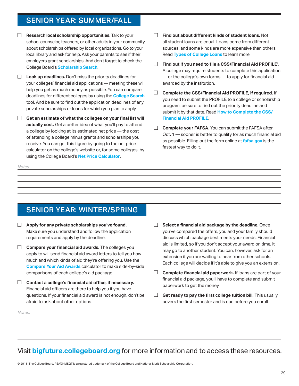## SENIOR YEAR: SUMMER/FALL

- $\Box$ **Research local scholarship opportunities.** Talk to your school counselor, teachers, or other adults in your community about scholarships offered by local organizations. Go to your local library and ask for help. Ask your parents to see if their employers grant scholarships. And don't forget to check the College Board's **[Scholarship Search](https://bigfuture.collegeboard.org/scholarship-search)**.
- **Look up deadlines.** Don't miss the priority deadlines for your colleges' financial aid applications — meeting these will help you get as much money as possible. You can compare deadlines for different colleges by using the **[College Search](https://bigfuture.collegeboard.org/college-search)** tool. And be sure to find out the application deadlines of any private scholarships or loans for which you plan to apply.
- **Get an estimate of what the colleges on your final list will actually cost.** Get a better idea of what you'll pay to attend a college by looking at its estimated net price — the cost of attending a college minus grants and scholarships you receive. You can get this figure by going to the net price calculator on the college's website or, for some colleges, by using the College Board's **[Net Price Calculator](http://studentnpc.collegeboard.org)**.
- $\Box$ **Find out about different kinds of student loans.** Not all student loans are equal. Loans come from different sources, and some kinds are more expensive than others. Read **[Types of College Loans](https://bigfuture.collegeboard.org/pay-for-college/loans/types-of-college-loans)** to learn more.
- $\Box$ **Find out if you need to file a CSS/Financial Aid PROFILE**® **.**  A college may require students to complete this application — or the college's own forms — to apply for financial aid awarded by the institution.
- **Complete the CSS/Financial Aid PROFILE, if required.** If you need to submit the PROFILE to a college or scholarship program, be sure to find out the priority deadline and submit it by that date. Read **[How to Complete the CSS/](https://bigfuture.collegeboard.org/pay-for-college/financial-aid-101/how-to-complete-the-css-financial-aid-profile)  [Financial Aid PROFILE](https://bigfuture.collegeboard.org/pay-for-college/financial-aid-101/how-to-complete-the-css-financial-aid-profile)**.
- $\Box$ **Complete your FAFSA.** You can submit the FAFSA after Oct. 1 — sooner is better to qualify for as much financial aid as possible. Filling out the form online at **[fafsa.gov](http://fafsa.gov)** is the fastest way to do it.

## SENIOR YEAR: WINTER/SPRING

- $\Box$ **Apply for any private scholarships you've found.**  Make sure you understand and follow the application requirements and apply by the deadline.
- **Compare your financial aid awards.** The colleges you apply to will send financial aid award letters to tell you how much and which kinds of aid they're offering you. Use the **[Compare Your Aid Awards](https://bigfuture.collegeboard.org/pay-for-college/financial-aid-awards/compare-aid-calculator)** calculator to make side-by-side comparisons of each college's aid package.
- **Contact a college's financial aid office, if necessary.**  Financial aid officers are there to help you if you have questions. If your financial aid award is not enough, don't be afraid to ask about other options.
- $\Box$ **Select a financial aid package by the deadline.** Once you've compared the offers, you and your family should discuss which package best meets your needs. Financial aid is limited, so if you don't accept your award on time, it may go to another student. You can, however, ask for an extension if you are waiting to hear from other schools. Each college will decide if it's able to give you an extension.
- $\Box$ **Complete financial aid paperwork.** If loans are part of your financial aid package, you'll have to complete and submit paperwork to get the money.
- **Get ready to pay the first college tuition bill.** This usually covers the first semester and is due before you enroll.

*Notes:* 

*Notes:* 

## Visit **[bigfuture.collegeboard.org](http://bigfuture.collegeboard.org)** for more information and to access these resources.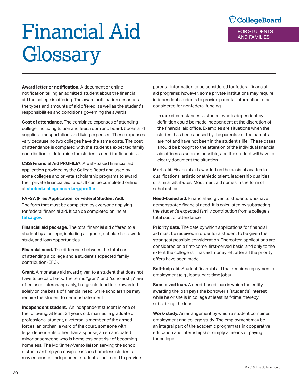# <span id="page-29-0"></span>Financial Aid Glossary



**Award letter or notification.** A document or online notification telling an admitted student about the financial aid the college is offering. The award notification describes the types and amounts of aid offered, as well as the student's responsibilities and conditions governing the awards.

**Cost of attendance.** The combined expenses of attending college, including tuition and fees, room and board, books and supplies, transportation, and living expenses. These expenses vary because no two colleges have the same costs. The cost of attendance is compared with the student's expected family contribution to determine the student's need for financial aid.

**CSS/Financial Aid PROFILE®.** A web-based financial aid application provided by the College Board and used by some colleges and private scholarship programs to award their private financial aid funds. It can be completed online at **[student.collegeboard.org/profile](http://student.collegeboard.org/profile)**.

#### **FAFSA (Free Application for Federal Student Aid).**

The form that must be completed by everyone applying for federal financial aid. It can be completed online at **fafsa.gov**.

**Financial aid package.** The total financial aid offered to a student by a college, including all grants, scholarships, workstudy, and loan opportunities.

**Financial need.** The difference between the total cost of attending a college and a student's expected family contribution (EFC).

**Grant.** A monetary aid award given to a student that does not have to be paid back. The terms "grant" and "scholarship" are often used interchangeably, but grants tend to be awarded solely on the basis of financial need, while scholarships may require the student to demonstrate merit.

**Independent student.** An independent student is one of the following: at least 24 years old, married, a graduate or professional student, a veteran, a member of the armed forces, an orphan, a ward of the court, someone with legal dependents other than a spouse, an emancipated minor or someone who is homeless or at risk of becoming homeless. The McKinney-Vento liaison serving the school district can help you navigate issues homeless students may encounter. Independent students don't need to provide parental information to be considered for federal financial aid programs; however, some private institutions may require independent students to provide parental information to be considered for nonfederal funding.

In rare circumstances, a student who is dependent by definition could be made independent at the discretion of the financial aid office. Examples are situations when the student has been abused by the parent(s) or the parents are not and have not been in the student's life. These cases should be brought to the attention of the individual financial aid offices as soon as possible, and the student will have to clearly document the situation.

**Merit aid.** Financial aid awarded on the basis of academic qualifications, artistic or athletic talent, leadership qualities, or similar attributes. Most merit aid comes in the form of scholarships.

**Need-based aid.** Financial aid given to students who have demonstrated financial need. It is calculated by subtracting the student's expected family contribution from a college's total cost of attendance.

**Priority date.** The date by which applications for financial aid must be received in order for a student to be given the strongest possible consideration. Thereafter, applications are considered on a first-come, first-served basis, and only to the extent the college still has aid money left after all the priority offers have been made.

**Self-help aid.** Student financial aid that requires repayment or employment (e.g., loans, part-time jobs).

**Subsidized loan.** A need-based loan in which the entity awarding the loan pays the borrower's (student's) interest while he or she is in college at least half-time, thereby subsidizing the loan.

**Work-study.** An arrangement by which a student combines employment and college study. The employment may be an integral part of the academic program (as in cooperative education and internships) or simply a means of paying for college.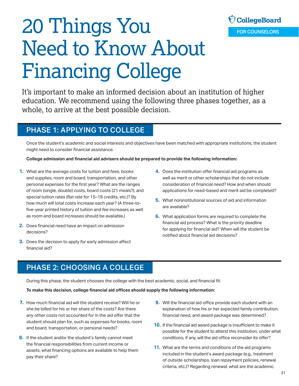

# <span id="page-30-0"></span>20 Things You Need to Know About Financing College

It's important to make an informed decision about an institution of higher education. We recommend using the following three phases together, as a whole, to arrive at the best possible decision.

## PHASE 1: APPLYING TO COLLEGE

Once the student's academic and social interests and objectives have been matched with appropriate institutions, the student might need to consider financial assistance.

**College admission and financial aid advisers should be prepared to provide the following information:** 

- **1.** What are the average costs for tuition and fees, books and supplies, room and board, transportation, and other personal expenses for the first year? What are the ranges of room (single, double) costs, board costs (21 meals?), and special tuition rates (flat rate for 15–18 credits, etc.)? By how much will total costs increase each year? (A three-tofive-year printed history of tuition and fee increases as well as room and board increases should be available.)
- **2.** Does financial need have an impact on admission decisions?
- **3.** Does the decision to apply for early admission affect financial aid?
- **4.** Does the institution offer financial aid programs as well as merit or other scholarships that do not include consideration of financial need? How and when should applications for need-based and merit aid be completed?
- **5.** What noninstitutional sources of aid and information are available?
- **6.** What application forms are required to complete the financial aid process? What is the priority deadline for applying for financial aid? When will the student be notified about financial aid decisions?

## PHASE 2: CHOOSING A COLLEGE

During this phase, the student chooses the college with the best academic, social, and financial fit.

**To make this decision, college financial aid offices should supply the following information:** 

- **7.** How much financial aid will the student receive? Will he or **9.** Will the financial aid office provide each student with an any other costs not accounted for in the aid offer that the financial need, and award package was determined?
- **8.** If the student and/or the student's family cannot meet conditions, if any, will the aid office reconsider its offer? the financial responsibilities from current income or<br>assets, what financing options are available to help them<br>pay their share?<br>assets award package (e.g., treatment<br>pay their share?
- she be billed for his or her share of the costs? Are there explanation of how his or her expected family contribution,
- student should plan for, such as expenses for books, room<br>and board, transportation, or personal needs?<br>possible for the student to attend this institution, under what
	- of outside scholarships, loan repayment policies, renewal criteria, etc.)? Regarding renewal, what are the academic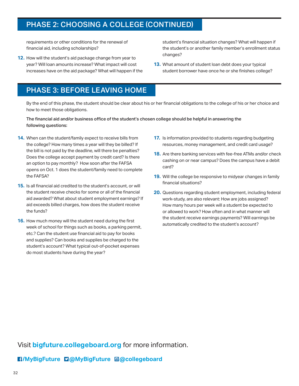## PHASE 2: CHOOSING A COLLEGE (CONTINUED)

changes? **12.** How will the student's aid package change from year to year? Will loan amounts increase? What impact will cost **13.** What amount of student loan debt does your typical

requirements or other conditions for the renewal of student's financial situation changes? What will happen if financial aid, including scholarships? the student's or another family member's enrollment status

increases have on the aid package? What will happen if the student borrower have once he or she finishes college?

## PHASE 3: BEFORE LEAVING HOME

By the end of this phase, the student should be clear about his or her financial obligations to the college of his or her choice and how to meet those obligations.

The financial aid and/or business office of the student's chosen college should be helpful in answering the following questions:

- **14.** When can the student/family expect to receive bills from the college? How many times a year will they be billed? If the bill is not paid by the deadline, will there be penalties? Does the college accept payment by credit card? Is there an option to pay monthly? How soon after the FAFSA opens on Oct. 1 does the student/family need to complete the FAFSA?
- **15.** Is all financial aid credited to the student's account, or will the student receive checks for some or all of the financial aid awarded? What about student employment earnings? If aid exceeds billed charges, how does the student receive the funds?
- **16.** How much money will the student need during the first week of school for things such as books, a parking permit, etc.? Can the student use financial aid to pay for books and supplies? Can books and supplies be charged to the student's account? What typical out-of-pocket expenses do most students have during the year?
- **17.** Is information provided to students regarding budgeting resources, money management, and credit card usage?
- **18.** Are there banking services with fee-free ATMs and/or check cashing on or near campus? Does the campus have a debit card?
- **19.** Will the college be responsive to midyear changes in family financial situations?
- **20.** Questions regarding student employment, including federal work-study, are also relevant: How are jobs assigned? How many hours per week will a student be expected to or allowed to work? How often and in what manner will the student receive earnings payments? Will earnings be automatically credited to the student's account?

Visit **[bigfuture.collegeboard.org](http://bigfuture.collegeboard.org)** for more information.

#### **[/MyBigFuture](https://www.facebook.com/MyBigFuture) [@MyBigFuture](https://twitter.com/MyBigFuture) [@collegeboard](https://instagram.com/collegeboard)**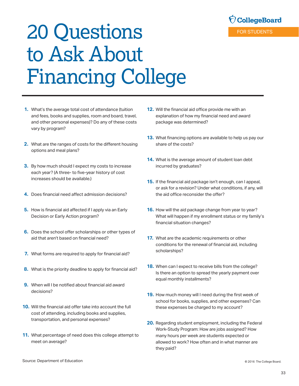

# <span id="page-32-0"></span>20 Questions to Ask About Financing College

- **1.** What's the average total cost of attendance (tuition and fees, books and supplies, room and board, travel, and other personal expenses)? Do any of these costs vary by program?
- **2.** What are the ranges of costs for the different housing options and meal plans?
- **3.** By how much should I expect my costs to increase each year? (A three- to five-year history of cost increases should be available.)
- **4.** Does financial need affect admission decisions?
- **5.** How is financial aid affected if I apply via an Early Decision or Early Action program?
- **6.** Does the school offer scholarships or other types of aid that aren't based on financial need?
- **7.** What forms are required to apply for financial aid?
- **8.** What is the priority deadline to apply for financial aid?
- **9.** When will I be notified about financial aid award decisions?
- **10.** Will the financial aid offer take into account the full cost of attending, including books and supplies, transportation, and personal expenses?
- **11.** What percentage of need does this college attempt to meet on average?
- **12.** Will the financial aid office provide me with an explanation of how my financial need and award package was determined?
- **13.** What financing options are available to help us pay our share of the costs?
- **14.** What is the average amount of student loan debt incurred by graduates?
- **15.** If the financial aid package isn't enough, can I appeal, or ask for a revision? Under what conditions, if any, will the aid office reconsider the offer?
- **16.** How will the aid package change from year to year? What will happen if my enrollment status or my family's financial situation changes?
- **17.** What are the academic requirements or other conditions for the renewal of financial aid, including scholarships?
- **18.** When can I expect to receive bills from the college? Is there an option to spread the yearly payment over equal monthly installments?
- **19.** How much money will I need during the first week of school for books, supplies, and other expenses? Can these expenses be charged to my account?
- **20.** Regarding student employment, including the Federal Work-Study Program: How are jobs assigned? How many hours per week are students expected or allowed to work? How often and in what manner are they paid?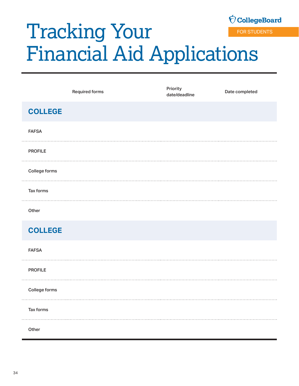## <span id="page-33-0"></span>**Ó CollegeBoard** Tracking Your FOR STUDENTS Financial Aid Applications

|                | <b>Required forms</b> | Priority<br>date/deadline | Date completed |
|----------------|-----------------------|---------------------------|----------------|
| <b>COLLEGE</b> |                       |                           |                |
| <b>FAFSA</b>   |                       |                           |                |
| <b>PROFILE</b> |                       |                           |                |
| College forms  |                       |                           |                |
| Tax forms      |                       |                           |                |
| Other          |                       |                           |                |

## **COLLEGE**

FAFSA PROFILE College forms Tax forms **Other**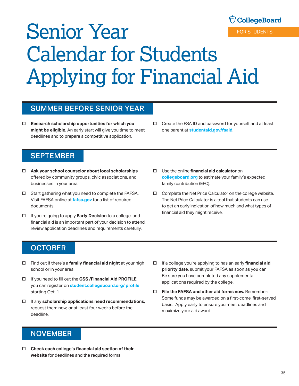# <span id="page-34-0"></span>Senior Year Calendar for Students Applying for Financial Aid

## SUMMER BEFORE SENIOR YEAR

- □ **Research scholarship opportunities for which you** □ Create the FSA ID and password for yourself and at least **might be eligible.** An early start will give you time to meet one parent at **[studentaid.gov/fsaid](http://studentaid.gov/fsaid).** deadlines and to prepare a competitive application.
- 

## **SEPTEMBER**

- □ Ask your school counselor about local scholarships offered by community groups, civic associations, and businesses in your area.
- $\square$  Start gathering what you need to complete the FAFSA. Visit FAFSA online at **fafsa.gov** for a list of required documents.
- □ If you're going to apply **Early Decision** to a college, and financial aid is an important part of your decision to attend, review application deadlines and requirements carefully.
- o Use the online **financial aid calculator** on **collegeboard.org** to estimate your family's expected family contribution (EFC).
- $\Box$  Complete the Net Price Calculator on the college website. financial aid they might receive. The Net Price Calculator is a tool that students can use to get an early indication of how much and what types of

## **OCTOBER**

- o Find out if there's a **family financial aid night** at your high o If a college you're applying to has an early **financial aid**
- Be sure you have completed any supplemental <sup>o</sup> If you need to fill out the **CSS /Financial Aid PROFILE**, applications required by the college. you can register on **student.collegeboard.org/ profile**
- 
- school or in your area. **priority date**, submit your FAFSA as soon as you can.
- starting Oct. 1. **File the FAFSA and other aid forms now.** Remember: □ If any **scholarship applications need recommendations**,<br>request them now, or at least four weeks before the deadlines and maximize your aid award.<br>deadline.

## **NOVEMBER**

□ Check each college's financial aid section of their **website** for deadlines and the required forms.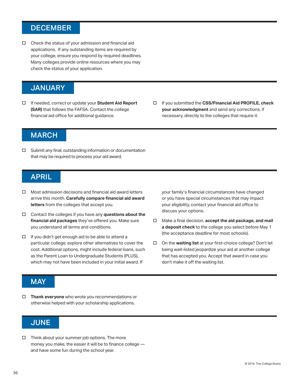## <span id="page-35-0"></span>DECEMBER

 $\Box$  Check the status of your admission and financial aid applications. If any outstanding items are required by your college, ensure you respond by required deadlines. Many colleges provide online resources where you may check the status of your application.

## **JANUARY**

- □ If needed, correct or update your **Student Aid Report (SAR)** that follows the FAFSA. Contact the college financial aid office for additional guidance.
- o If you submitted the **CSS/Financial Aid PROFILE, check your acknowledgment** and send any corrections, if necessary, directly to the colleges that require it.

## **MARCH**

 $\square$  Submit any final, outstanding information or documentation that may be required to process your aid award.

### APRIL

- $\Box$  Most admission decisions and financial aid award letters arrive this month. **Carefully compare financial aid award letters** from the colleges that accept you.
- □ Contact the colleges if you have any **questions about the financial aid packages** they've offered you. Make sure you understand all terms and conditions.
- $\Box$  If you didn't get enough aid to be able to attend a particular college, explore other alternatives to cover the cost. Additional options, might include federal loans, such as the Parent Loan to Undergraduate Students (PLUS), which may not have been included in your initial award. If

your family's financial circumstances have changed or you have special circumstances that may impact your eligibility, contact your financial aid office to discuss your options.

- o Make a final decision, **accept the aid package, and mail a deposit check** to the college you select before May 1 (the acceptance deadline for most schools).
- □ On the **waiting list** at your first-choice college? Don't let being wait-listed jeopardize your aid at another college that has accepted you. Accept that award in case you don't make it off the waiting list.

## **MAY**

□ Thank everyone who wrote you recommendations or otherwise helped with your scholarship applications.

## **JUNE**

 $\Box$  Think about your summer job options. The more money you make, the easier it will be to finance college and have some fun during the school year.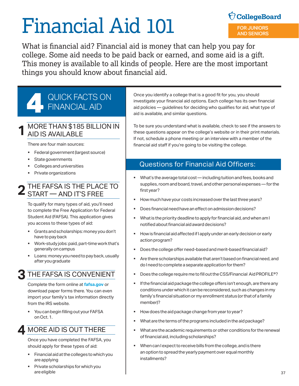# Financial Aid 101

## $\bigcirc$  CollegeBoard FOR JUNIORS AND SENIORS

What is financial aid? Financial aid is money that can help you pay for college. Some aid needs to be paid back or earned, and some aid is a gift. This money is available to all kinds of people. Here are the most important things you should know about financial aid.

## QUICK FACTS ON<br>FINANCIAL AID

#### **1** MORE THAN \$185 BILLION IN AID IS AVAILABLE

There are four main sources:

- Federal government (largest source)
- State governments
- Colleges and universities
- Private organizations

## THE FAFSA IS THE PLACE TO **2** START — AND IT'S FREE

To qualify for many types of aid, you'll need to complete the Free Application for Federal Student Aid (FAFSA). This application gives you access to these types of aid:

- Grants and scholarships: money you don't have to pay back
- Work-study jobs: paid, part-time work that's generally on campus
- Loans: money you need to pay back, usually after you graduate

## **3** THE FAFSA IS CONVENIENT

Complete the form online at **[fafsa.gov](http://www.fafsa.ed.gov)** or download paper forms there. You can even import your family's tax information directly from the IRS website.

 You can begin filling out your FAFSA on Oct. 1.

## **4** MORE AID IS OUT THERE

Once you have completed the FAFSA, you should apply for these types of aid:

- Financial aid at the colleges to which you are applying
- Private scholarships for which you are eligible

Once you identify a college that is a good fit for you, you should investigate your financial aid options. Each college has its own financial aid policies — guidelines for deciding who qualifies for aid, what type of aid is available, and similar questions.

To be sure you understand what is available, check to see if the answers to these questions appear on the college's website or in their print materials. If not, schedule a phone meeting or an interview with a member of the financial aid staff if you're going to be visiting the college.

## Questions for Financial Aid Officers:

- What's the average total cost including tuition and fees, books and supplies, room and board, travel, and other personal expenses — for the first year?
- How much have your costs increased over the last three years?
- Does financial need have an effect on admission decisions?
- What is the priority deadline to apply for financial aid, and when am I notified about financial aid award decisions?
- How is financial aid affected if I apply under an early decision or early action program?
- Does the college offer need-based and merit-based financial aid?
- Are there scholarships available that aren't based on financial need, and do I need to complete a separate application for them?
- Does the college require me to fill out the CSS/Financial Aid PROFILE<sup>®</sup>?
- **If the financial aid package the college offers isn't enough, are there any** conditions under which it can be reconsidered, such as changes in my family's financial situation or my enrollment status (or that of a family member)?
- How does the aid package change from year to year?
- What are the terms of the programs included in the aid package?
- What are the academic requirements or other conditions for the renewal of financial aid, including scholarships?
- When can I expect to receive bills from the college, and is there an option to spread the yearly payment over equal monthly installments?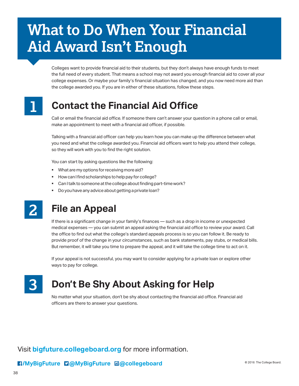## **What to Do When Your Financial Aid Award Isn't Enough**

Colleges want to provide financial aid to their students, but they don't always have enough funds to meet the full need of every student. That means a school may not award you enough financial aid to cover all your college expenses. Or maybe your family's financial situation has changed, and you now need more aid than the college awarded you. If you are in either of these situations, follow these steps.



## **Contact the Financial Aid Office**

Call or email the financial aid office. If someone there can't answer your question in a phone call or email, make an appointment to meet with a financial aid officer, if possible.

Talking with a financial aid officer can help you learn how you can make up the difference between what you need and what the college awarded you. Financial aid officers want to help you attend their college, so they will work with you to find the right solution.

You can start by asking questions like the following:

- What are my options for receiving more aid?
- **How can I find scholarships to help pay for college?**
- Can I talk to someone at the college about finding part-time work?
- Do you have any advice about getting a private loan?

## **2**

## **File an Appeal**

If there is a significant change in your family's finances — such as a drop in income or unexpected medical expenses — you can submit an appeal asking the financial aid office to review your award. Call the office to find out what the college's standard appeals process is so you can follow it. Be ready to provide proof of the change in your circumstances, such as bank statements, pay stubs, or medical bills. But remember, it will take you time to prepare the appeal, and it will take the college time to act on it.

If your appeal is not successful, you may want to consider applying for a private loan or explore other ways to pay for college.

**3** 

## **Don't Be Shy About Asking for Help**

No matter what your situation, don't be shy about contacting the financial aid office. Financial aid officers are there to answer your questions.

Visit **[bigfuture.collegeboard.org](http://bigfuture.collegeboard.org)** for more information.

#### *COMyBigFuture* **<b>D** *Q MyBigFuture* **a** *Q* **Collegeboard** *COMYBigFuture <b>a <i>Q Q* COIE COLLEGE BOARD *COLLEGE BOARD*